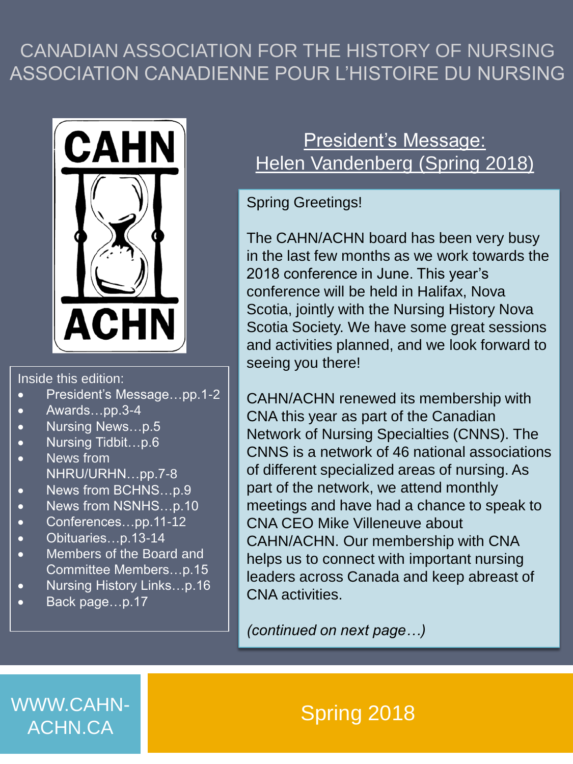### CANADIAN ASSOCIATION FOR THE HISTORY OF NURSING ASSOCIATION CANADIENNE POUR L'HISTOIRE DU NURSING



#### Inside this edition:

- President's Message…pp.1-2
- Awards…pp.3-4
- Nursing News…p.5
- Nursing Tidbit…p.6
- News from NHRU/URHN…pp.7-8
- News from BCHNS…p.9
- News from NSNHS…p.10
- Conferences…pp.11-12
- Obituaries…p.13-14
- Members of the Board and Committee Members…p.15
- Nursing History Links...p.16
- Back page…p.17

### President's Message: Helen Vandenberg (Spring 2018)

#### Spring Greetings!

The CAHN/ACHN board has been very busy in the last few months as we work towards the 2018 conference in June. This year's conference will be held in Halifax, Nova Scotia, jointly with the Nursing History Nova Scotia Society. We have some great sessions and activities planned, and we look forward to seeing you there!

CAHN/ACHN renewed its membership with CNA this year as part of the Canadian Network of Nursing Specialties (CNNS). The CNNS is a network of 46 national associations of different specialized areas of nursing. As part of the network, we attend monthly meetings and have had a chance to speak to CNA CEO Mike Villeneuve about CAHN/ACHN. Our membership with CNA helps us to connect with important nursing leaders across Canada and keep abreast of CNA activities.

*(continued on next page…)*

WWW.CAHN-<br>A Spring 2018 ACHN.CA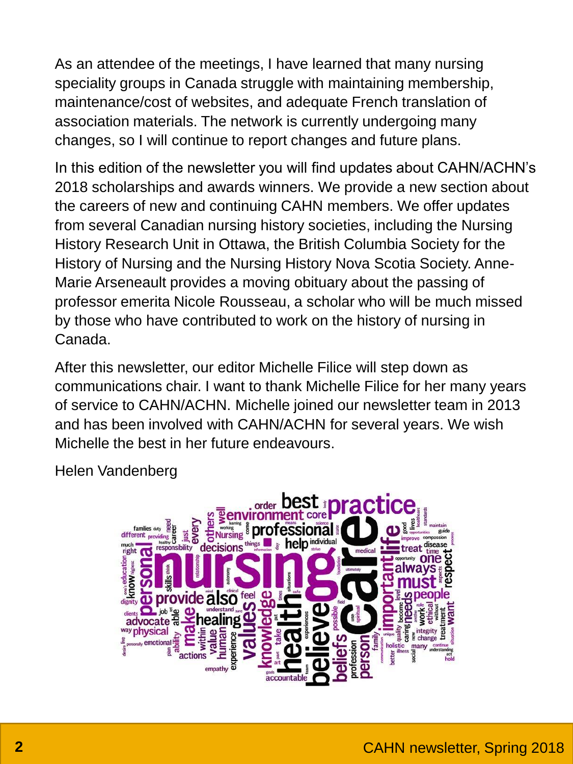As an attendee of the meetings, I have learned that many nursing speciality groups in Canada struggle with maintaining membership, maintenance/cost of websites, and adequate French translation of association materials. The network is currently undergoing many changes, so I will continue to report changes and future plans.

In this edition of the newsletter you will find updates about CAHN/ACHN's 2018 scholarships and awards winners. We provide a new section about the careers of new and continuing CAHN members. We offer updates from several Canadian nursing history societies, including the Nursing History Research Unit in Ottawa, the British Columbia Society for the History of Nursing and the Nursing History Nova Scotia Society. Anne-Marie Arseneault provides a moving obituary about the passing of professor emerita Nicole Rousseau, a scholar who will be much missed by those who have contributed to work on the history of nursing in Canada.

After this newsletter, our editor Michelle Filice will step down as communications chair. I want to thank Michelle Filice for her many years of service to CAHN/ACHN. Michelle joined our newsletter team in 2013 and has been involved with CAHN/ACHN for several years. We wish Michelle the best in her future endeavours.

Helen Vandenberg

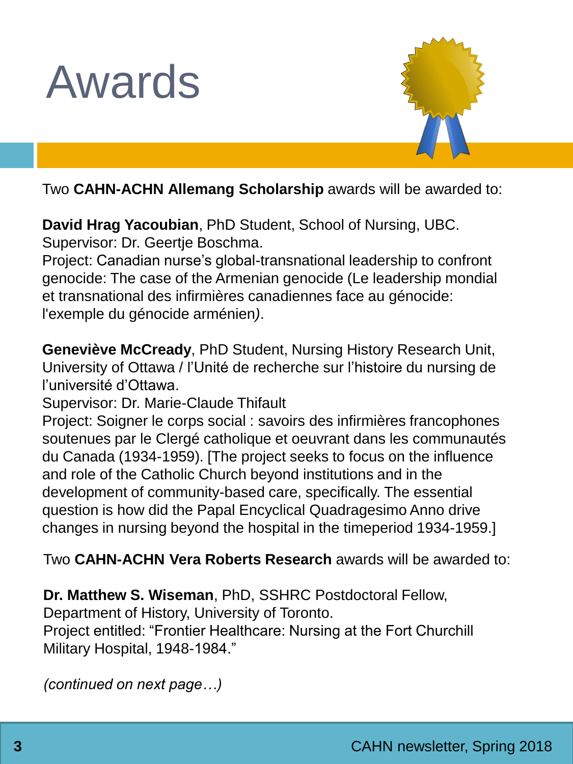



Two **CAHN-ACHN Allemang Scholarship** awards will be awarded to:

**David Hrag Yacoubian**, PhD Student, School of Nursing, UBC. Supervisor: Dr. Geertje Boschma.

Project: Canadian nurse's global-transnational leadership to confront genocide: The case of the Armenian genocide (Le leadership mondial et transnational des infirmières canadiennes face au génocide: l'exemple du génocide arménien*)*.

**Geneviève McCready**, PhD Student, Nursing History Research Unit, University of Ottawa / l'Unité de recherche sur l'histoire du nursing de l'université d'Ottawa.

Supervisor: Dr. Marie-Claude Thifault

Project: Soigner le corps social : savoirs des infirmières francophones soutenues par le Clergé catholique et oeuvrant dans les communautés du Canada (1934-1959). [The project seeks to focus on the influence and role of the Catholic Church beyond institutions and in the development of community-based care, specifically. The essential question is how did the Papal Encyclical Quadragesimo Anno drive changes in nursing beyond the hospital in the timeperiod 1934-1959.]

Two **CAHN-ACHN Vera Roberts Research** awards will be awarded to:

**Dr. Matthew S. Wiseman**, PhD, SSHRC Postdoctoral Fellow, Department of History, University of Toronto.

Project entitled: "Frontier Healthcare: Nursing at the Fort Churchill Military Hospital, 1948-1984."

*(continued on next page…)*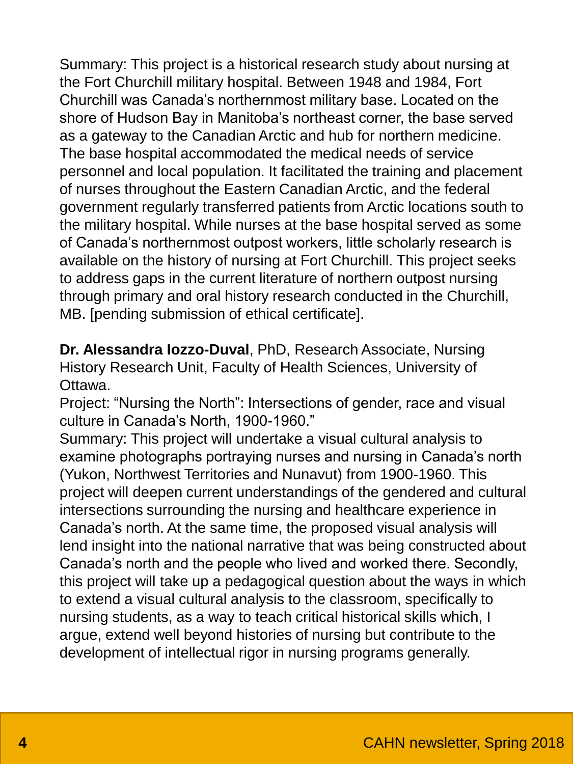Summary: This project is a historical research study about nursing at the Fort Churchill military hospital. Between 1948 and 1984, Fort Churchill was Canada's northernmost military base. Located on the shore of Hudson Bay in Manitoba's northeast corner, the base served as a gateway to the Canadian Arctic and hub for northern medicine. The base hospital accommodated the medical needs of service personnel and local population. It facilitated the training and placement of nurses throughout the Eastern Canadian Arctic, and the federal government regularly transferred patients from Arctic locations south to the military hospital. While nurses at the base hospital served as some of Canada's northernmost outpost workers, little scholarly research is available on the history of nursing at Fort Churchill. This project seeks to address gaps in the current literature of northern outpost nursing through primary and oral history research conducted in the Churchill, MB. [pending submission of ethical certificate].

**Dr. Alessandra Iozzo-Duval**, PhD, Research Associate, Nursing History Research Unit, Faculty of Health Sciences, University of Ottawa.

Project: "Nursing the North": Intersections of gender, race and visual culture in Canada's North, 1900-1960."

Summary: This project will undertake a visual cultural analysis to examine photographs portraying nurses and nursing in Canada's north (Yukon, Northwest Territories and Nunavut) from 1900-1960. This project will deepen current understandings of the gendered and cultural intersections surrounding the nursing and healthcare experience in Canada's north. At the same time, the proposed visual analysis will lend insight into the national narrative that was being constructed about Canada's north and the people who lived and worked there. Secondly, this project will take up a pedagogical question about the ways in which to extend a visual cultural analysis to the classroom, specifically to nursing students, as a way to teach critical historical skills which, I argue, extend well beyond histories of nursing but contribute to the development of intellectual rigor in nursing programs generally.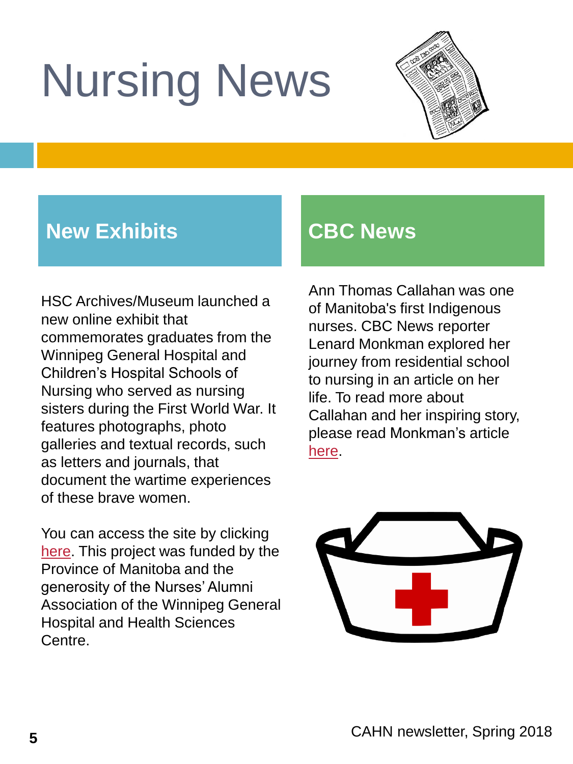# Nursing News



### **New Exhibits CBC News**

HSC Archives/Museum launched a new online exhibit that commemorates graduates from the Winnipeg General Hospital and Children's Hospital Schools of Nursing who served as nursing sisters during the First World War. It features photographs, photo galleries and textual records, such as letters and journals, that document the wartime experiences of these brave women.

You can access the site by clicking [here.](https://hscarchives.com/nursing-sisters-home/) This project was funded by the Province of Manitoba and the generosity of the Nurses' Alumni Association of the Winnipeg General Hospital and Health Sciences Centre.

Ann Thomas Callahan was one of Manitoba's first Indigenous nurses. CBC News reporter Lenard Monkman explored her journey from residential school to nursing in an article on her life. To read more about Callahan and her inspiring story, please read Monkman's article [here.](http://www.cbc.ca/news/indigenous/ann-thomas-callahan-indigenous-nurse-manitoba-1.4577447)

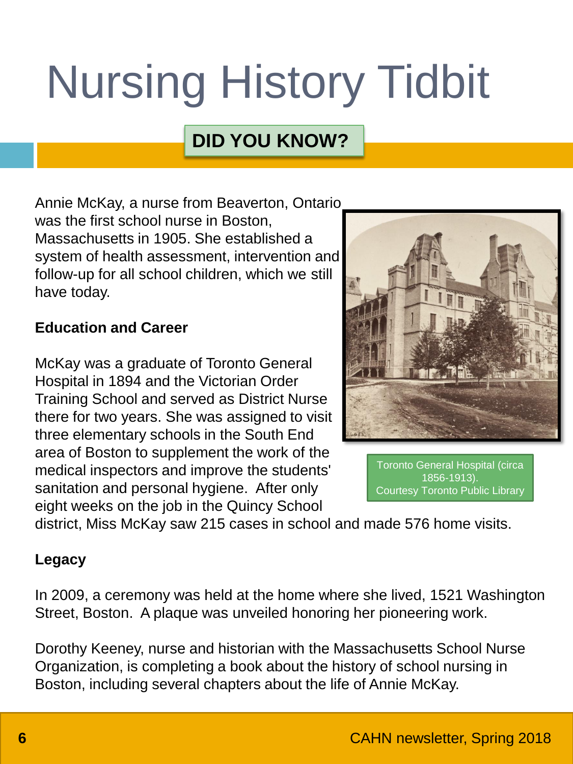# Nursing History Tidbit

### **DID YOU KNOW?**

Annie McKay, a nurse from Beaverton, Ontario was the first school nurse in Boston, Massachusetts in 1905. She established a system of health assessment, intervention and follow-up for all school children, which we still have today.

#### **Education and Career**

McKay was a graduate of Toronto General Hospital in 1894 and the Victorian Order Training School and served as District Nurse there for two years. She was assigned to visit three elementary schools in the South End area of Boston to supplement the work of the medical inspectors and improve the students' sanitation and personal hygiene. After only eight weeks on the job in the Quincy School



Toronto General Hospital (circa 1856-1913). Courtesy Toronto Public Library

district, Miss McKay saw 215 cases in school and made 576 home visits.

#### **Legacy**

In 2009, a ceremony was held at the home where she lived, 1521 Washington Street, Boston. A plaque was unveiled honoring her pioneering work.

Dorothy Keeney, nurse and historian with the Massachusetts School Nurse Organization, is completing a book about the history of school nursing in Boston, including several chapters about the life of Annie McKay.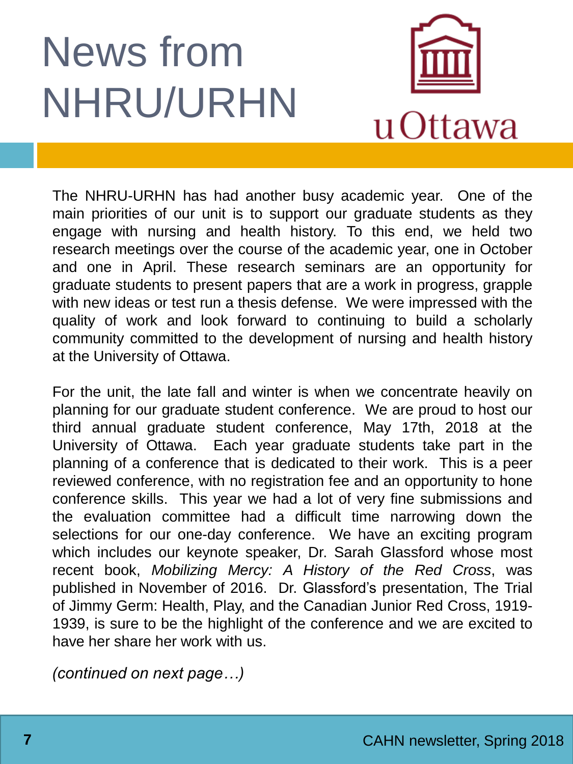## News from NHRU/URHN



The NHRU-URHN has had another busy academic year. One of the main priorities of our unit is to support our graduate students as they engage with nursing and health history. To this end, we held two research meetings over the course of the academic year, one in October and one in April. These research seminars are an opportunity for graduate students to present papers that are a work in progress, grapple with new ideas or test run a thesis defense. We were impressed with the quality of work and look forward to continuing to build a scholarly community committed to the development of nursing and health history at the University of Ottawa.

For the unit, the late fall and winter is when we concentrate heavily on planning for our graduate student conference. We are proud to host our third annual graduate student conference, May 17th, 2018 at the University of Ottawa. Each year graduate students take part in the planning of a conference that is dedicated to their work. This is a peer reviewed conference, with no registration fee and an opportunity to hone conference skills. This year we had a lot of very fine submissions and the evaluation committee had a difficult time narrowing down the selections for our one-day conference. We have an exciting program which includes our keynote speaker, Dr. Sarah Glassford whose most recent book, *Mobilizing Mercy: A History of the Red Cross*, was published in November of 2016. Dr. Glassford's presentation, The Trial of Jimmy Germ: Health, Play, and the Canadian Junior Red Cross, 1919- 1939, is sure to be the highlight of the conference and we are excited to have her share her work with us.

*(continued on next page…)*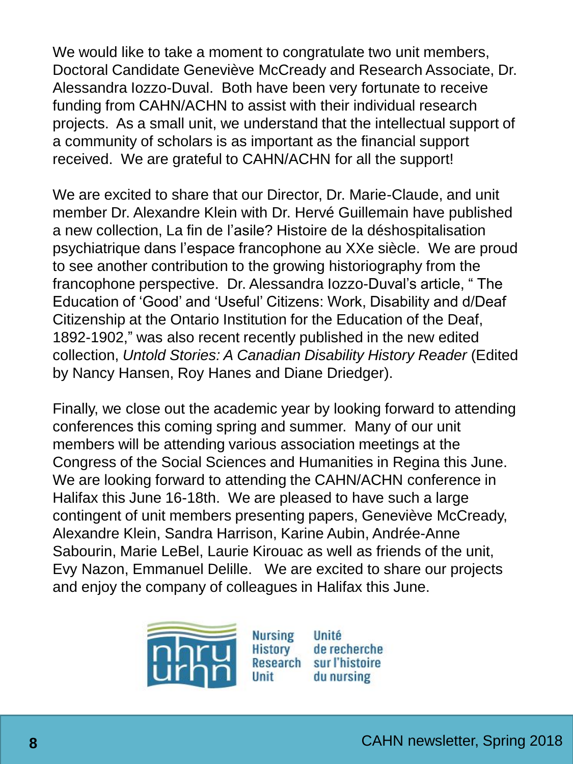We would like to take a moment to congratulate two unit members, Doctoral Candidate Geneviève McCready and Research Associate, Dr. Alessandra Iozzo-Duval. Both have been very fortunate to receive funding from CAHN/ACHN to assist with their individual research projects. As a small unit, we understand that the intellectual support of a community of scholars is as important as the financial support received. We are grateful to CAHN/ACHN for all the support!

We are excited to share that our Director, Dr. Marie-Claude, and unit member Dr. Alexandre Klein with Dr. Hervé Guillemain have published a new collection, La fin de l'asile? Histoire de la déshospitalisation psychiatrique dans l'espace francophone au XXe siècle. We are proud to see another contribution to the growing historiography from the francophone perspective. Dr. Alessandra Iozzo-Duval's article, " The Education of 'Good' and 'Useful' Citizens: Work, Disability and d/Deaf Citizenship at the Ontario Institution for the Education of the Deaf, 1892-1902," was also recent recently published in the new edited collection, *Untold Stories: A Canadian Disability History Reader* (Edited by Nancy Hansen, Roy Hanes and Diane Driedger).

Finally, we close out the academic year by looking forward to attending conferences this coming spring and summer. Many of our unit members will be attending various association meetings at the Congress of the Social Sciences and Humanities in Regina this June. We are looking forward to attending the CAHN/ACHN conference in Halifax this June 16-18th. We are pleased to have such a large contingent of unit members presenting papers, Geneviève McCready, Alexandre Klein, Sandra Harrison, Karine Aubin, Andrée-Anne Sabourin, Marie LeBel, Laurie Kirouac as well as friends of the unit, Evy Nazon, Emmanuel Delille. We are excited to share our projects and enjoy the company of colleagues in Halifax this June.

Unit



**Nursing** Unité **History** de recherche Research sur l'histoire du nursing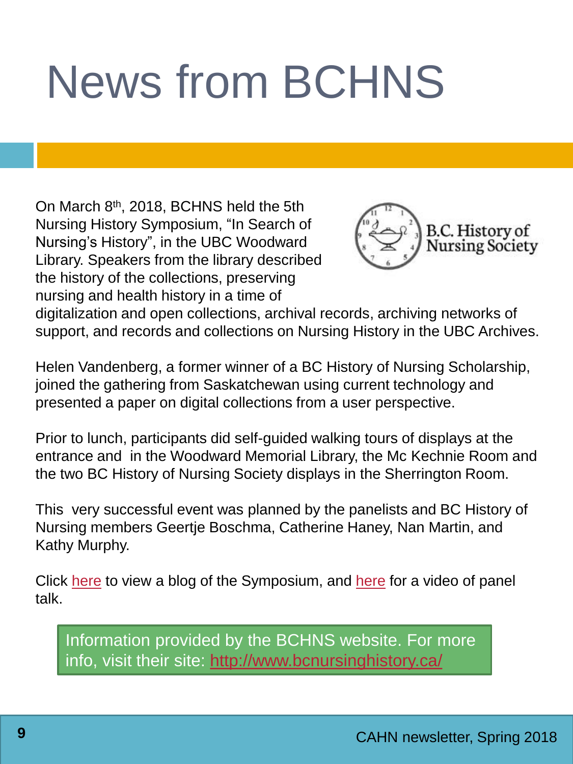# News from BCHNS

On March 8th, 2018, BCHNS held the 5th Nursing History Symposium, "In Search of Nursing's History", in the UBC Woodward Library. Speakers from the library described the history of the collections, preserving nursing and health history in a time of



digitalization and open collections, archival records, archiving networks of support, and records and collections on Nursing History in the UBC Archives.

Helen Vandenberg, a former winner of a BC History of Nursing Scholarship, joined the gathering from Saskatchewan using current technology and presented a paper on digital collections from a user perspective.

Prior to lunch, participants did self-guided walking tours of displays at the entrance and in the Woodward Memorial Library, the Mc Kechnie Room and the two BC History of Nursing Society displays in the Sherrington Room.

This very successful event was planned by the panelists and BC History of Nursing members Geertje Boschma, Catherine Haney, Nan Martin, and Kathy Murphy.

Click [here](blogs.ubc.ca/nursinghistory/) to view a blog of the Symposium, and [here](https://open.library.ubc.ca/cIRcle/collections/historyofnursinginpacificcanada/46624/items/1.0364287) for a video of panel talk.

Information provided by the BCHNS website. For more info, visit their site: <http://www.bcnursinghistory.ca/>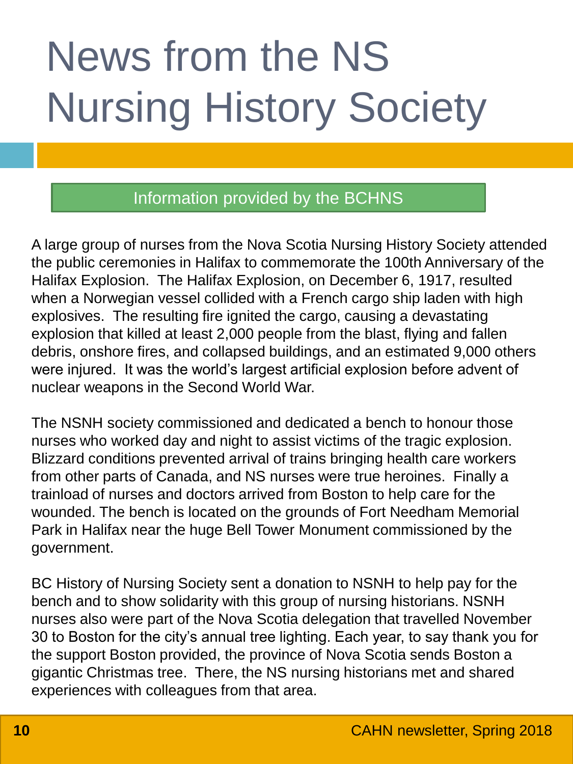# News from the NS Nursing History Society

### Information provided by the BCHNS

A large group of nurses from the Nova Scotia Nursing History Society attended the public ceremonies in Halifax to commemorate the 100th Anniversary of the Halifax Explosion. The Halifax Explosion, on December 6, 1917, resulted when a Norwegian vessel collided with a French cargo ship laden with high explosives. The resulting fire ignited the cargo, causing a devastating explosion that killed at least 2,000 people from the blast, flying and fallen debris, onshore fires, and collapsed buildings, and an estimated 9,000 others were injured. It was the world's largest artificial explosion before advent of nuclear weapons in the Second World War.

The NSNH society commissioned and dedicated a bench to honour those nurses who worked day and night to assist victims of the tragic explosion. Blizzard conditions prevented arrival of trains bringing health care workers from other parts of Canada, and NS nurses were true heroines. Finally a trainload of nurses and doctors arrived from Boston to help care for the wounded. The bench is located on the grounds of Fort Needham Memorial Park in Halifax near the huge Bell Tower Monument commissioned by the government.

BC History of Nursing Society sent a donation to NSNH to help pay for the bench and to show solidarity with this group of nursing historians. NSNH nurses also were part of the Nova Scotia delegation that travelled November 30 to Boston for the city's annual tree lighting. Each year, to say thank you for the support Boston provided, the province of Nova Scotia sends Boston a gigantic Christmas tree. There, the NS nursing historians met and shared experiences with colleagues from that area.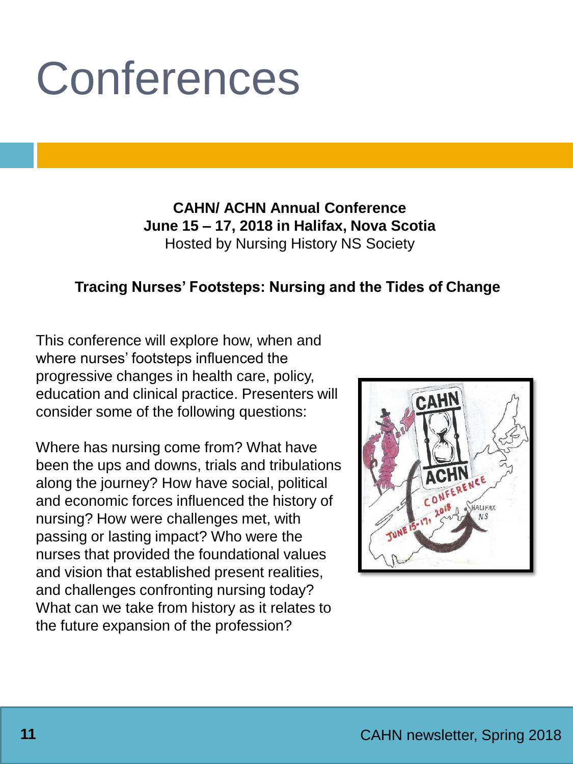# Conferences

**CAHN/ ACHN Annual Conference June 15 – 17, 2018 in Halifax, Nova Scotia** Hosted by Nursing History NS Society

#### **Tracing Nurses' Footsteps: Nursing and the Tides of Change**

This conference will explore how, when and where nurses' footsteps influenced the progressive changes in health care, policy, education and clinical practice. Presenters will consider some of the following questions:

Where has nursing come from? What have been the ups and downs, trials and tribulations along the journey? How have social, political and economic forces influenced the history of nursing? How were challenges met, with passing or lasting impact? Who were the nurses that provided the foundational values and vision that established present realities, and challenges confronting nursing today? What can we take from history as it relates to the future expansion of the profession?

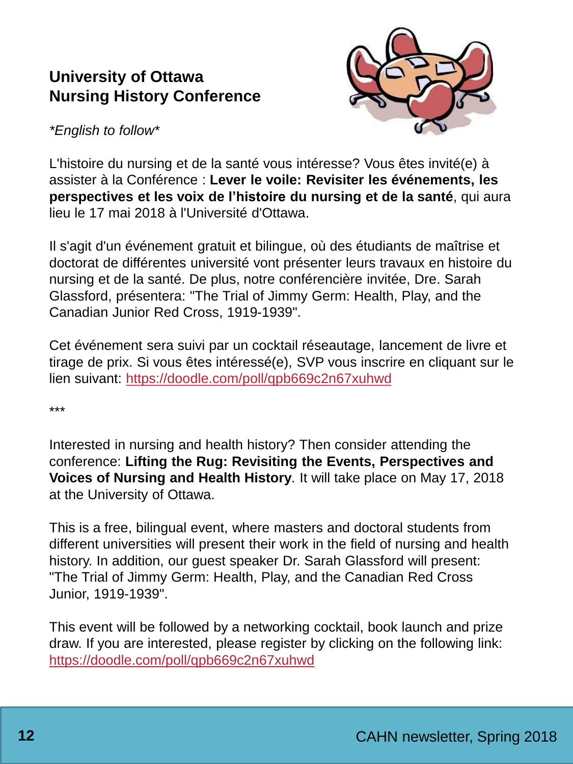### **University of Ottawa Nursing History Conference**



*\*English to follow\**

L'histoire du nursing et de la santé vous intéresse? Vous êtes invité(e) à assister à la Conférence : **Lever le voile: Revisiter les événements, les perspectives et les voix de l'histoire du nursing et de la santé**, qui aura lieu le 17 mai 2018 à l'Université d'Ottawa.

Il s'agit d'un événement gratuit et bilingue, où des étudiants de maîtrise et doctorat de différentes université vont présenter leurs travaux en histoire du nursing et de la santé. De plus, notre conférencière invitée, Dre. Sarah Glassford, présentera: "The Trial of Jimmy Germ: Health, Play, and the Canadian Junior Red Cross, 1919-1939".

Cet événement sera suivi par un cocktail réseautage, lancement de livre et tirage de prix. Si vous êtes intéressé(e), SVP vous inscrire en cliquant sur le lien suivant: <https://doodle.com/poll/qpb669c2n67xuhwd>

\*\*\*

Interested in nursing and health history? Then consider attending the conference: **Lifting the Rug: Revisiting the Events, Perspectives and Voices of Nursing and Health History**. It will take place on May 17, 2018 at the University of Ottawa.

This is a free, bilingual event, where masters and doctoral students from different universities will present their work in the field of nursing and health history. In addition, our guest speaker Dr. Sarah Glassford will present: "The Trial of Jimmy Germ: Health, Play, and the Canadian Red Cross Junior, 1919-1939".

This event will be followed by a networking cocktail, book launch and prize draw. If you are interested, please register by clicking on the following link: <https://doodle.com/poll/qpb669c2n67xuhwd>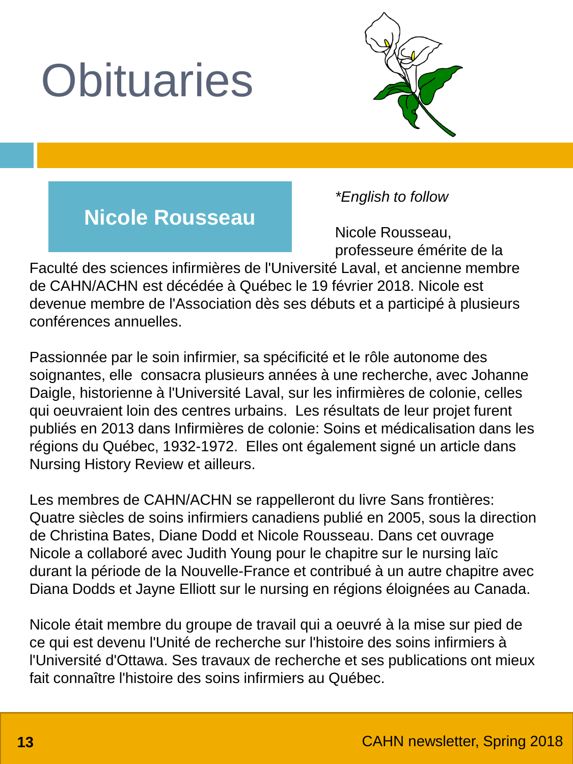# **Obituaries**



### **Nicole Rousseau**

*\*English to follow*

Nicole Rousseau, professeure émérite de la

Faculté des sciences infirmières de l'Université Laval, et ancienne membre de CAHN/ACHN est décédée à Québec le 19 février 2018. Nicole est devenue membre de l'Association dès ses débuts et a participé à plusieurs conférences annuelles.

Passionnée par le soin infirmier, sa spécificité et le rôle autonome des soignantes, elle consacra plusieurs années à une recherche, avec Johanne Daigle, historienne à l'Université Laval, sur les infirmières de colonie, celles qui oeuvraient loin des centres urbains. Les résultats de leur projet furent publiés en 2013 dans Infirmières de colonie: Soins et médicalisation dans les régions du Québec, 1932-1972. Elles ont également signé un article dans Nursing History Review et ailleurs.

Les membres de CAHN/ACHN se rappelleront du livre Sans frontières: Quatre siècles de soins infirmiers canadiens publié en 2005, sous la direction de Christina Bates, Diane Dodd et Nicole Rousseau. Dans cet ouvrage Nicole a collaboré avec Judith Young pour le chapitre sur le nursing laïc durant la période de la Nouvelle-France et contribué à un autre chapitre avec Diana Dodds et Jayne Elliott sur le nursing en régions éloignées au Canada.

Nicole était membre du groupe de travail qui a oeuvré à la mise sur pied de ce qui est devenu l'Unité de recherche sur l'histoire des soins infirmiers à l'Université d'Ottawa. Ses travaux de recherche et ses publications ont mieux fait connaître l'histoire des soins infirmiers au Québec.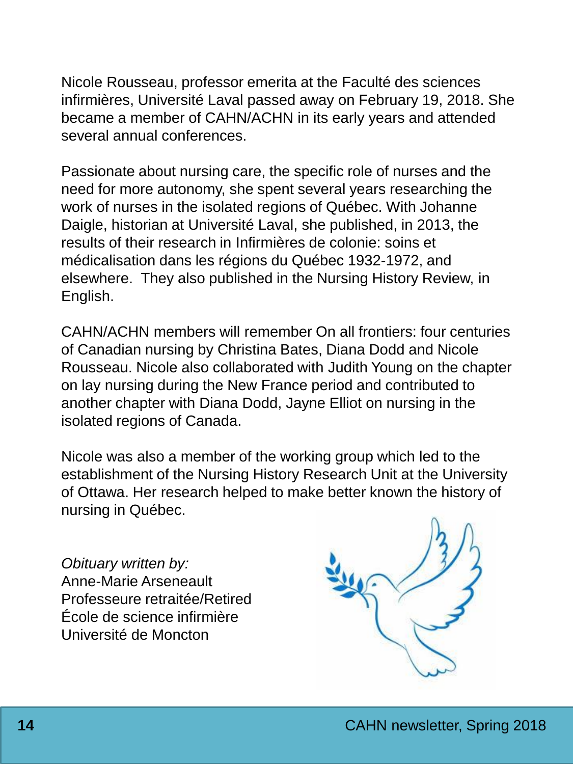Nicole Rousseau, professor emerita at the Faculté des sciences infirmières, Université Laval passed away on February 19, 2018. She became a member of CAHN/ACHN in its early years and attended several annual conferences.

Passionate about nursing care, the specific role of nurses and the need for more autonomy, she spent several years researching the work of nurses in the isolated regions of Québec. With Johanne Daigle, historian at Université Laval, she published, in 2013, the results of their research in Infirmières de colonie: soins et médicalisation dans les régions du Québec 1932-1972, and elsewhere. They also published in the Nursing History Review, in English.

CAHN/ACHN members will remember On all frontiers: four centuries of Canadian nursing by Christina Bates, Diana Dodd and Nicole Rousseau. Nicole also collaborated with Judith Young on the chapter on lay nursing during the New France period and contributed to another chapter with Diana Dodd, Jayne Elliot on nursing in the isolated regions of Canada.

Nicole was also a member of the working group which led to the establishment of the Nursing History Research Unit at the University of Ottawa. Her research helped to make better known the history of nursing in Québec.

*Obituary written by:* Anne-Marie Arseneault Professeure retraitée/Retired École de science infirmière Université de Moncton

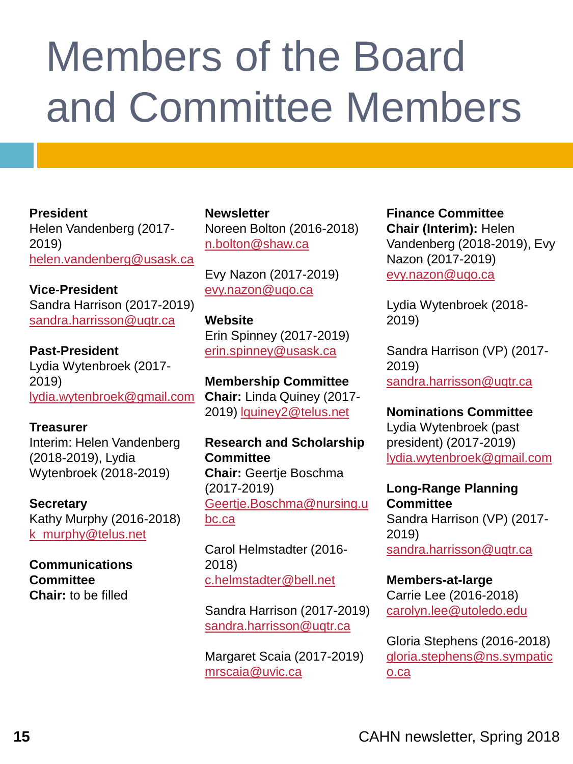## Members of the Board and Committee Members

**President** Helen Vandenberg (2017- 2019) [helen.vandenberg@usask.ca](mailto:helen.vandenberg@usask.ca)

**Vice-President**  Sandra Harrison (2017-2019) [sandra.harrisson@uqtr.ca](mailto:sandra.harrisson@uqtr.ca)

**Past-President**  Lydia Wytenbroek (2017- 2019) [lydia.wytenbroek@gmail.com](mailto:lydia.wytenbroek@gmail.com)

**Treasurer**

Interim: Helen Vandenberg (2018-2019), Lydia Wytenbroek (2018-2019)

**Secretary** Kathy Murphy (2016-2018) [k\\_murphy@telus.net](mailto:k_murphy@telus.net)

**Communications Committee Chair:** to be filled

**Newsletter** Noreen Bolton (2016-2018) [n.bolton@shaw.ca](mailto:n.bolton@shaw.ca)

Evy Nazon (2017-2019) [evy.nazon@uqo.ca](mailto:evy.nazon@uqo.ca)

**Website**  Erin Spinney (2017-2019) [erin.spinney@usask.ca](mailto:erin.spinney@usask.ca)

**Membership Committee Chair:** Linda Quiney (2017- 2019) [lquiney2@telus.net](mailto:lquiney2@telus.net)

**Research and Scholarship Committee Chair:** Geertje Boschma (2017-2019) [Geertje.Boschma@nursing.u](mailto:Geertje.Boschma@nursing.ubc.ca) bc.ca

Carol Helmstadter (2016- 2018) [c.helmstadter@bell.net](mailto:c.helmstadter@bell.net)

Sandra Harrison (2017-2019) [sandra.harrisson@uqtr.ca](mailto:sandra.harrisson@uqtr.ca)

Margaret Scaia (2017-2019) [mrscaia@uvic.ca](mailto:mrscaia@uvic.ca)

**Finance Committee Chair (Interim):** Helen Vandenberg (2018-2019), Evy Nazon (2017-2019) [evy.nazon@uqo.ca](mailto:evya.nazon@uqo.ca)

Lydia Wytenbroek (2018- 2019)

Sandra Harrison (VP) (2017- 2019) [sandra.harrisson@uqtr.ca](mailto:sandra.harrisson@uqtr.ca)

**Nominations Committee** Lydia Wytenbroek (past president) (2017-2019) [lydia.wytenbroek@gmail.com](mailto:lydia.wytenbroek@gmail.com)

**Long-Range Planning Committee** Sandra Harrison (VP) (2017- 2019) [sandra.harrisson@uqtr.ca](mailto:sandra.harrisson@uqtr.ca)

**Members-at-large** Carrie Lee (2016-2018) [carolyn.lee@utoledo.edu](mailto:carolyn.lee@utoledo.edu)

Gloria Stephens (2016-2018) [gloria.stephens@ns.sympatic](mailto:gloria.stephens@ns.sympatico.ca) o.ca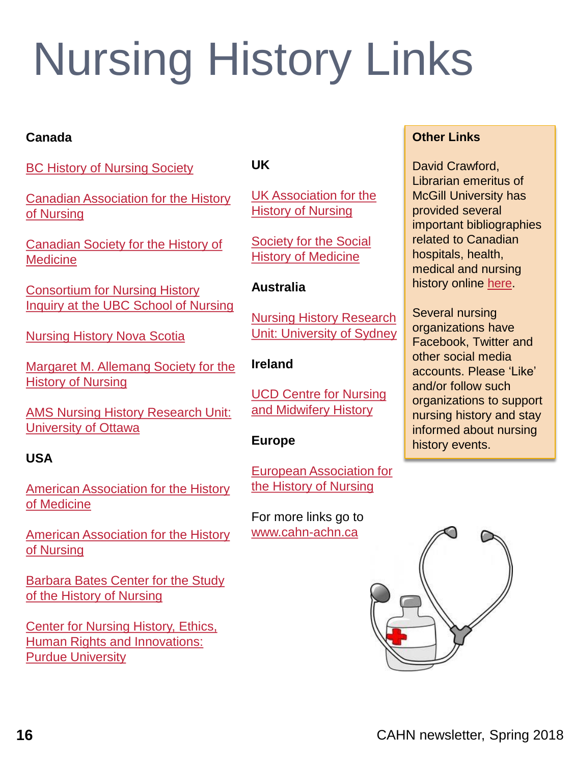# Nursing History Links

#### **Canada**

**[BC History of Nursing Society](http://www.bcnursinghistory.ca/)** 

[Canadian Association for the History](http://www.cahn-achn.ca/) of Nursing

[Canadian Society for the History of](http://cshm-schm.ca/)  **Medicine** 

Consortium for Nursing History [Inquiry at the UBC School of Nursing](http://blogs.ubc.ca/nursinghistory/)

**[Nursing History Nova Scotia](http://www.nursinghistorynovascotia.com/)** 

[Margaret M. Allemang](http://allemang.on.ca/) Society for the History of Nursing

[AMS Nursing History Research Unit:](http://www.health.uottawa.ca/nursing-history/index.htm) University of Ottawa

#### **USA**

[American Association for the History](http://www.histmed.org/)  of Medicine

[American Association for the History](http://www.aahn.org/index.html)  of Nursing

[Barbara Bates Center for the Study](https://www.nursing.upenn.edu/history/)  of the History of Nursing

Center for Nursing History, Ethics, [Human Rights and Innovations:](http://www.nursing.purdue.edu/centersandclinics/cnhehri/collections.php#nurhist)  Purdue University

#### **UK**

[UK Association for the](http://ukahn.org/cms/)  History of Nursing

[Society for the Social](http://www.sshm.org/)  History of Medicine

#### **Australia**

Nursing History Research [Unit: University of Sydney](http://sydney.edu.au/nursing/about_us/our_campus/nursing_history_research_unit.shtml)

#### **Ireland**

[UCD Centre for Nursing](http://www.ucd.ie/icnmh/) and Midwifery History

#### **Europe**

[European Association for](https://eahn.eu/)  the History of Nursing

For more links go to [www.cahn-achn.ca](http://www.cahn-achn.ca/)

#### **Other Links**

David Crawford, Librarian emeritus of McGill University has provided several important bibliographies related to Canadian hospitals, health, medical and nursing history online [here](http://internatlibs.mcgill.ca/).

Several nursing organizations have Facebook, Twitter and other social media accounts. Please 'Like' and/or follow such organizations to support nursing history and stay informed about nursing history events.